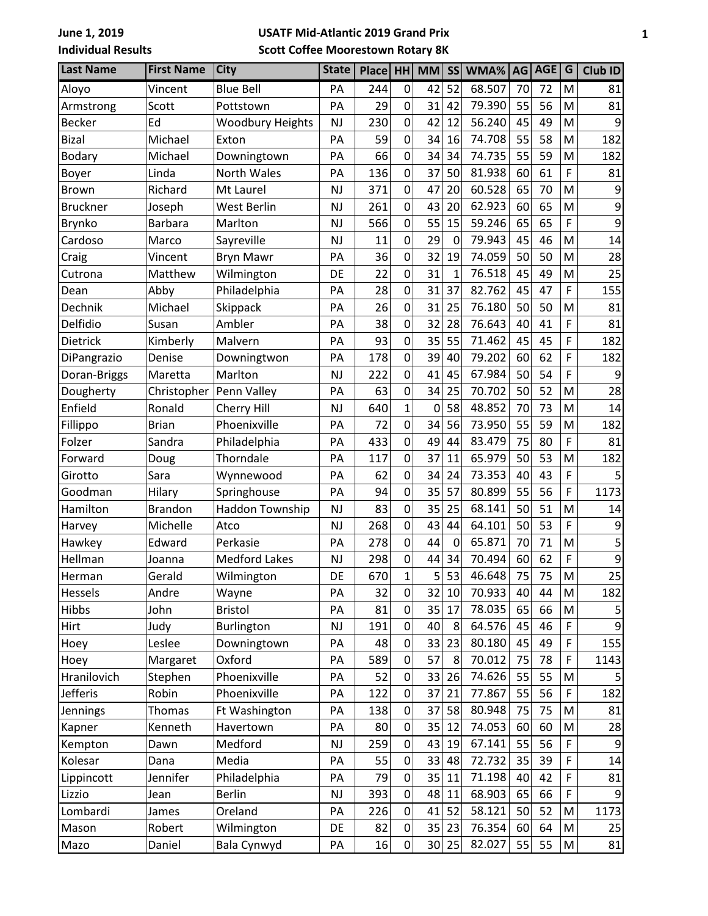## **USATF Mid-Atlantic 2019 Grand Prix Scott Coffee Moorestown Rotary 8K**

| <b>Last Name</b> | <b>First Name</b> | <b>City</b>             | <b>State</b> | Place HH |                | <b>MM</b>       | SS             | WMA%   | AG | AGE | G                                                                                                          | Club ID |
|------------------|-------------------|-------------------------|--------------|----------|----------------|-----------------|----------------|--------|----|-----|------------------------------------------------------------------------------------------------------------|---------|
| Aloyo            | Vincent           | <b>Blue Bell</b>        | PA           | 244      | 0              | 42              | 52             | 68.507 | 70 | 72  | M                                                                                                          | 81      |
| Armstrong        | Scott             | Pottstown               | PA           | 29       | 0              | 31              | 42             | 79.390 | 55 | 56  | M                                                                                                          | 81      |
| <b>Becker</b>    | Ed                | <b>Woodbury Heights</b> | <b>NJ</b>    | 230      | 0              | 42              | 12             | 56.240 | 45 | 49  | M                                                                                                          | 9       |
| <b>Bizal</b>     | Michael           | Exton                   | PA           | 59       | 0              | 34              | 16             | 74.708 | 55 | 58  | M                                                                                                          | 182     |
| <b>Bodary</b>    | Michael           | Downingtown             | PA           | 66       | 0              | 34              | 34             | 74.735 | 55 | 59  | M                                                                                                          | 182     |
| Boyer            | Linda             | North Wales             | PA           | 136      | $\mathbf 0$    | 37              | 50             | 81.938 | 60 | 61  | F                                                                                                          | 81      |
| <b>Brown</b>     | Richard           | Mt Laurel               | <b>NJ</b>    | 371      | 0              | 47              | 20             | 60.528 | 65 | 70  | M                                                                                                          | 9       |
| <b>Bruckner</b>  | Joseph            | West Berlin             | <b>NJ</b>    | 261      | 0              | 43              | 20             | 62.923 | 60 | 65  | M                                                                                                          | 9       |
| <b>Brynko</b>    | Barbara           | Marlton                 | <b>NJ</b>    | 566      | 0              | 55              | 15             | 59.246 | 65 | 65  | F                                                                                                          | 9       |
| Cardoso          | Marco             | Sayreville              | <b>NJ</b>    | 11       | 0              | 29              | $\overline{0}$ | 79.943 | 45 | 46  | M                                                                                                          | 14      |
| Craig            | Vincent           | <b>Bryn Mawr</b>        | PA           | 36       | 0              | 32              | 19             | 74.059 | 50 | 50  | M                                                                                                          | 28      |
| Cutrona          | Matthew           | Wilmington              | DE           | 22       | 0              | 31              | $\mathbf{1}$   | 76.518 | 45 | 49  | M                                                                                                          | 25      |
| Dean             | Abby              | Philadelphia            | PA           | 28       | 0              | 31              | 37             | 82.762 | 45 | 47  | F                                                                                                          | 155     |
| Dechnik          | Michael           | Skippack                | PA           | 26       | 0              | 31              | 25             | 76.180 | 50 | 50  | M                                                                                                          | 81      |
| Delfidio         | Susan             | Ambler                  | PA           | 38       | $\mathbf 0$    | 32              | 28             | 76.643 | 40 | 41  | F                                                                                                          | 81      |
| Dietrick         | Kimberly          | Malvern                 | PA           | 93       | $\mathbf 0$    | 35              | 55             | 71.462 | 45 | 45  | F                                                                                                          | 182     |
| DiPangrazio      | Denise            | Downingtwon             | PA           | 178      | 0              | 39              | 40             | 79.202 | 60 | 62  | F                                                                                                          | 182     |
| Doran-Briggs     | Maretta           | Marlton                 | <b>NJ</b>    | 222      | 0              | 41              | 45             | 67.984 | 50 | 54  | F                                                                                                          | 9       |
| Dougherty        | Christopher       | Penn Valley             | PA           | 63       | 0              | 34              | 25             | 70.702 | 50 | 52  | M                                                                                                          | 28      |
| Enfield          | Ronald            | Cherry Hill             | <b>NJ</b>    | 640      | 1              | 0               | 58             | 48.852 | 70 | 73  | M                                                                                                          | 14      |
| Fillippo         | <b>Brian</b>      | Phoenixville            | PA           | 72       | 0              | 34              | 56             | 73.950 | 55 | 59  | M                                                                                                          | 182     |
| Folzer           | Sandra            | Philadelphia            | PA           | 433      | 0              | 49              | 44             | 83.479 | 75 | 80  | F                                                                                                          | 81      |
| Forward          | Doug              | Thorndale               | PA           | 117      | 0              | 37              | 11             | 65.979 | 50 | 53  | M                                                                                                          | 182     |
| Girotto          | Sara              | Wynnewood               | PA           | 62       | 0              | 34              | 24             | 73.353 | 40 | 43  | F                                                                                                          | 5       |
| Goodman          | Hilary            | Springhouse             | PA           | 94       | $\mathbf 0$    | 35              | 57             | 80.899 | 55 | 56  | F                                                                                                          | 1173    |
| Hamilton         | <b>Brandon</b>    | Haddon Township         | <b>NJ</b>    | 83       | 0              | 35              | 25             | 68.141 | 50 | 51  | M                                                                                                          | 14      |
| Harvey           | Michelle          | Atco                    | <b>NJ</b>    | 268      | 0              | 43              | 44             | 64.101 | 50 | 53  | F                                                                                                          | 9       |
| Hawkey           | Edward            | Perkasie                | PA           | 278      | $\mathbf 0$    | 44              | $\mathbf 0$    | 65.871 | 70 | 71  | M                                                                                                          | 5       |
| Hellman          | Joanna            | <b>Medford Lakes</b>    | <b>NJ</b>    | 298      | $\mathbf 0$    | 44              | 34             | 70.494 | 60 | 62  | F                                                                                                          | 9       |
| Herman           | Gerald            | Wilmington              | DE           | 670      | $\mathbf{1}$   | $\mathsf{S}$    | 53             | 46.648 | 75 | 75  | $\mathsf{M}% _{T}=\mathsf{M}_{T}\!\left( a,b\right) ,\ \mathsf{M}_{T}=\mathsf{M}_{T}\!\left( a,b\right) ,$ | 25      |
| Hessels          | Andre             | Wayne                   | PA           | 32       | $\overline{0}$ | 32              | 10             | 70.933 | 40 | 44  | M                                                                                                          | 182     |
| Hibbs            | John              | <b>Bristol</b>          | PA           | 81       | $\mathbf 0$    | 35              | 17             | 78.035 | 65 | 66  | M                                                                                                          | 5       |
| Hirt             | Judy              | Burlington              | <b>NJ</b>    | 191      | 0              | 40              | 8              | 64.576 | 45 | 46  | F                                                                                                          | 9       |
| Hoey             | Leslee            | Downingtown             | PA           | 48       | 0              | 33              | 23             | 80.180 | 45 | 49  | F                                                                                                          | 155     |
| Hoey             | Margaret          | Oxford                  | PA           | 589      | 0              | 57              | 8              | 70.012 | 75 | 78  | F                                                                                                          | 1143    |
| Hranilovich      | Stephen           | Phoenixville            | PA           | 52       | 0              | 33              | 26             | 74.626 | 55 | 55  | M                                                                                                          |         |
| Jefferis         | Robin             | Phoenixville            | PA           | 122      | 0              | 37              | 21             | 77.867 | 55 | 56  | F                                                                                                          | 182     |
| <b>Jennings</b>  | <b>Thomas</b>     | Ft Washington           | PA           | 138      | 0              | 37              | 58             | 80.948 | 75 | 75  | M                                                                                                          | 81      |
| Kapner           | Kenneth           | Havertown               | PA           | 80       | 0              | 35              | 12             | 74.053 | 60 | 60  | M                                                                                                          | 28      |
| Kempton          | Dawn              | Medford                 | <b>NJ</b>    | 259      | 0              | 43              | 19             | 67.141 | 55 | 56  | F                                                                                                          | 9       |
| Kolesar          | Dana              | Media                   | PA           | 55       | 0              | 33              | 48             | 72.732 | 35 | 39  | F                                                                                                          | 14      |
| Lippincott       | Jennifer          | Philadelphia            | PA           | 79       | 0              | 35              | 11             | 71.198 | 40 | 42  | F                                                                                                          | 81      |
| Lizzio           | Jean              | <b>Berlin</b>           | <b>NJ</b>    | 393      | 0              | 48              | 11             | 68.903 | 65 | 66  | F                                                                                                          | 9       |
| Lombardi         | James             | Oreland                 | PA           | 226      | $\mathbf 0$    | 41              | 52             | 58.121 | 50 | 52  | M                                                                                                          | 1173    |
| Mason            | Robert            | Wilmington              | DE           | 82       | 0              | 35              | 23             | 76.354 | 60 | 64  | М                                                                                                          | 25      |
| Mazo             | Daniel            | Bala Cynwyd             | PA           | 16       | $\mathbf 0$    | 30 <sup>2</sup> | 25             | 82.027 | 55 | 55  | M                                                                                                          | 81      |